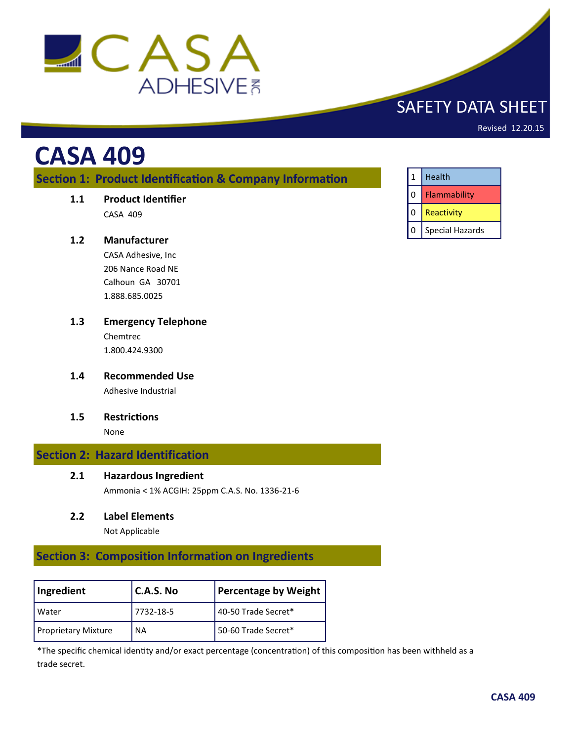

# SAFETY DATA SHEET

Revised 12.20.15

# **CASA 409**

# **Section 1: Product Identification & Company Information**

**1.1 Product Identifier**

CASA 409

#### **1.2 Manufacturer**

CASA Adhesive, Inc 206 Nance Road NE Calhoun GA 30701 1.888.685.0025

- **1.3 Emergency Telephone** Chemtrec 1.800.424.9300
- **1.4 Recommended Use** Adhesive Industrial
- **1.5 Restrictions**

None

# **Section 2: Hazard Identification**

#### **2.1 Hazardous Ingredient**

Ammonia < 1% ACGIH: 25ppm C.A.S. No. 1336-21-6

#### **2.2 Label Elements**

Not Applicable

# **Section 3: Composition Information on Ingredients**

| Ingredient                 | $C.A.S.$ No | Percentage by Weight |
|----------------------------|-------------|----------------------|
| l Water                    | 7732-18-5   | 40-50 Trade Secret*  |
| <b>Proprietary Mixture</b> | <b>NA</b>   | 50-60 Trade Secret*  |

\*The specific chemical identity and/or exact percentage (concentration) of this composition has been withheld as a trade secret.

| $\mathbf{1}$ | Health                 |
|--------------|------------------------|
| 0            | Flammability           |
| 0            | Reactivity             |
| 0            | <b>Special Hazards</b> |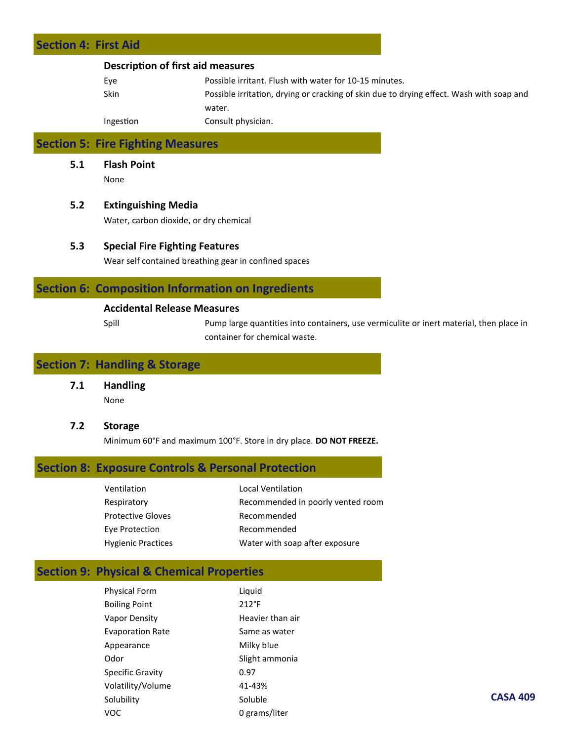# **Section 4: First Aid Description of first aid measures**

| Eve       | Possible irritant. Flush with water for 10-15 minutes.                                   |
|-----------|------------------------------------------------------------------------------------------|
| . Skin    | Possible irritation, drying or cracking of skin due to drying effect. Wash with soap and |
|           | water.                                                                                   |
| Ingestion | Consult physician.                                                                       |

# **Section 5: Fire Fighting Measures**

**5.1 Flash Point**

None

#### **5.2 Extinguishing Media**

Water, carbon dioxide, or dry chemical

#### **5.3 Special Fire Fighting Features**

Wear self contained breathing gear in confined spaces

# **Section 6: Composition Information on Ingredients**

#### **Accidental Release Measures**

Spill Pump large quantities into containers, use vermiculite or inert material, then place in container for chemical waste.

# **Section 7: Handling & Storage**

**7.1 Handling** None

#### **7.2 Storage**

Minimum 60°F and maximum 100°F. Store in dry place. **DO NOT FREEZE.**

# **Section 8: Exposure Controls & Personal Protection**

| Ventilation               | <b>Local Ventilation</b>          |
|---------------------------|-----------------------------------|
| Respiratory               | Recommended in poorly vented room |
| <b>Protective Gloves</b>  | Recommended                       |
| Eye Protection            | Recommended                       |
| <b>Hygienic Practices</b> | Water with soap after exposure    |

# **Section 9: Physical & Chemical Properties**

| <b>Physical Form</b>    | Liquid           |
|-------------------------|------------------|
| <b>Boiling Point</b>    | $212^{\circ}F$   |
| Vapor Density           | Heavier than air |
| <b>Evaporation Rate</b> | Same as water    |
| Appearance              | Milky blue       |
| Odor                    | Slight ammonia   |
| <b>Specific Gravity</b> | 0.97             |
| Volatility/Volume       | 41-43%           |
| Solubility              | Soluble          |
| voc                     | 0 grams/liter    |
|                         |                  |